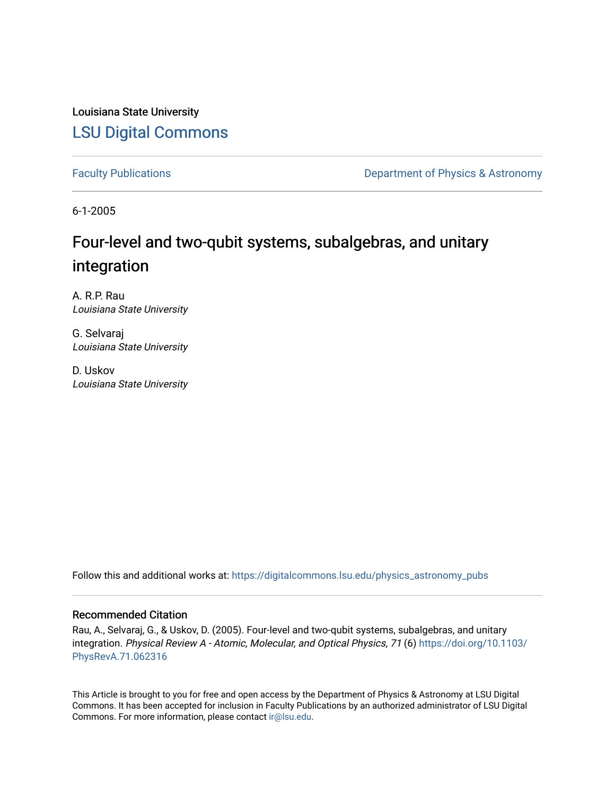Louisiana State University [LSU Digital Commons](https://digitalcommons.lsu.edu/)

[Faculty Publications](https://digitalcommons.lsu.edu/physics_astronomy_pubs) **Exercise 2 and Table 2 and Table 2 and Table 2 and Table 2 and Table 2 and Table 2 and Table 2 and Table 2 and Table 2 and Table 2 and Table 2 and Table 2 and Table 2 and Table 2 and Table 2 and Table** 

6-1-2005

# Four-level and two-qubit systems, subalgebras, and unitary integration

A. R.P. Rau Louisiana State University

G. Selvaraj Louisiana State University

D. Uskov Louisiana State University

Follow this and additional works at: [https://digitalcommons.lsu.edu/physics\\_astronomy\\_pubs](https://digitalcommons.lsu.edu/physics_astronomy_pubs?utm_source=digitalcommons.lsu.edu%2Fphysics_astronomy_pubs%2F4521&utm_medium=PDF&utm_campaign=PDFCoverPages) 

## Recommended Citation

Rau, A., Selvaraj, G., & Uskov, D. (2005). Four-level and two-qubit systems, subalgebras, and unitary integration. Physical Review A - Atomic, Molecular, and Optical Physics, 71 (6) [https://doi.org/10.1103/](https://doi.org/10.1103/PhysRevA.71.062316) [PhysRevA.71.062316](https://doi.org/10.1103/PhysRevA.71.062316) 

This Article is brought to you for free and open access by the Department of Physics & Astronomy at LSU Digital Commons. It has been accepted for inclusion in Faculty Publications by an authorized administrator of LSU Digital Commons. For more information, please contact [ir@lsu.edu](mailto:ir@lsu.edu).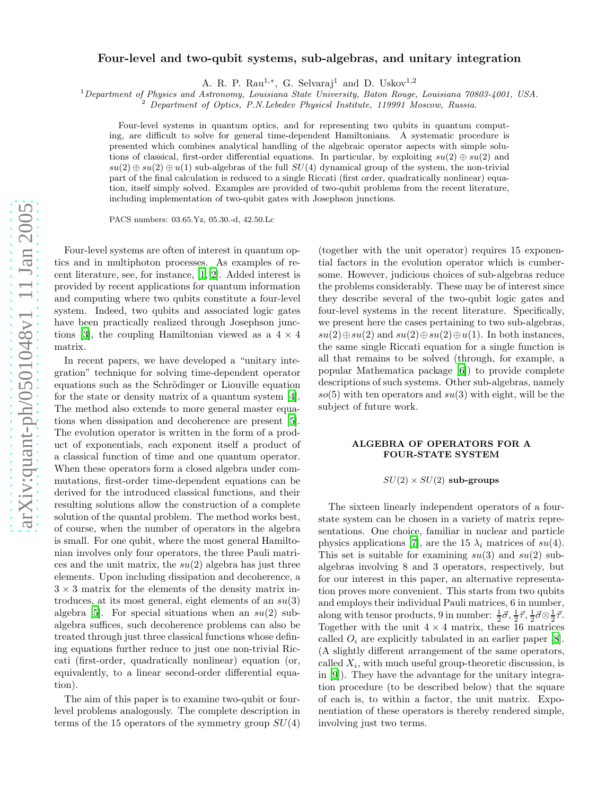### Four-level and two-qubit systems, sub-algebras, and unitary integration

A. R. P. Rau<sup>1,\*</sup>, G. Selvaraj<sup>1</sup> and D. Uskov<sup>1,2</sup>

<sup>1</sup>*Department of Physics and Astronomy, Louisiana State University, Baton Rouge, Louisiana 70803-4001, USA.* <sup>2</sup> *Department of Optics, P.N.Lebedev Physicsl Institute, 119991 Moscow, Russia.*

Four-level systems in quantum optics, and for representing two qubits in quantum computing, are difficult to solve for general time-dependent Hamiltonians. A systematic procedure is presented which combines analytical handling of the algebraic operator aspects with simple solutions of classical, first-order differential equations. In particular, by exploiting  $su(2) \oplus su(2)$  and  $su(2) \oplus su(2) \oplus u(1)$  sub-algebras of the full  $SU(4)$  dynamical group of the system, the non-trivial part of the final calculation is reduced to a single Riccati (first order, quadratically nonlinear) equation, itself simply solved. Examples are provided of two-qubit problems from the recent literature, including implementation of two-qubit gates with Josephson junctions.

PACS numbers: 03.65.Yz, 05.30.-d, 42.50.Lc

Four-level systems are often of interest in quantum optics and in multiphoton processes. As examples of recent literature, see, for instance, [\[1](#page-6-0), [2](#page-7-0)]. Added interest is provided by recent applications for quantum information and computing where two qubits constitute a four-level system. Indeed, two qubits and associated logic gates have been practically realized through Josephson junc-tions [\[3\]](#page-7-1), the coupling Hamiltonian viewed as a  $4 \times 4$ matrix.

In recent papers, we have developed a "unitary integration" technique for solving time-dependent operator equations such as the Schrödinger or Liouville equation for the state or density matrix of a quantum system [\[4\]](#page-7-2). The method also extends to more general master equations when dissipation and decoherence are present [\[5\]](#page-7-3). The evolution operator is written in the form of a product of exponentials, each exponent itself a product of a classical function of time and one quantum operator. When these operators form a closed algebra under commutations, first-order time-dependent equations can be derived for the introduced classical functions, and their resulting solutions allow the construction of a complete solution of the quantal problem. The method works best, of course, when the number of operators in the algebra is small. For one qubit, where the most general Hamiltonian involves only four operators, the three Pauli matrices and the unit matrix, the  $su(2)$  algebra has just three elements. Upon including dissipation and decoherence, a  $3 \times 3$  matrix for the elements of the density matrix introduces, at its most general, eight elements of an  $su(3)$ algebra [\[5\]](#page-7-3). For special situations when an  $su(2)$  subalgebra suffices, such decoherence problems can also be treated through just three classical functions whose defining equations further reduce to just one non-trivial Riccati (first-order, quadratically nonlinear) equation (or, equivalently, to a linear second-order differential equation).

The aim of this paper is to examine two-qubit or fourlevel problems analogously. The complete description in terms of the 15 operators of the symmetry group  $SU(4)$ 

(together with the unit operator) requires 15 exponential factors in the evolution operator which is cumbersome. However, judicious choices of sub-algebras reduce the problems considerably. These may be of interest since they describe several of the two-qubit logic gates and four-level systems in the recent literature. Specifically, we present here the cases pertaining to two sub-algebras,  $su(2) \oplus su(2)$  and  $su(2) \oplus su(2) \oplus u(1)$ . In both instances, the same single Riccati equation for a single function is all that remains to be solved (through, for example, a popular Mathematica package [\[6\]](#page-7-4)) to provide complete descriptions of such systems. Other sub-algebras, namely  $so(5)$  with ten operators and  $su(3)$  with eight, will be the subject of future work.

#### ALGEBRA OF OPERATORS FOR A FOUR-STATE SYSTEM

#### $SU(2) \times SU(2)$  sub-groups

The sixteen linearly independent operators of a fourstate system can be chosen in a variety of matrix representations. One choice, familiar in nuclear and particle physics applications [\[7\]](#page-7-5), are the 15  $\lambda_i$  matrices of  $su(4)$ . This set is suitable for examining  $su(3)$  and  $su(2)$  subalgebras involving 8 and 3 operators, respectively, but for our interest in this paper, an alternative representation proves more convenient. This starts from two qubits and employs their individual Pauli matrices, 6 in number, along with tensor products, 9 in number:  $\frac{1}{2}\vec{\sigma}, \frac{1}{2}\vec{\tau}, \frac{1}{2}\vec{\sigma} \otimes \frac{1}{2}\vec{\tau}$ . Together with the unit  $4 \times 4$  matrix, these 16 matrices called  $O_i$  are explicitly tabulated in an earlier paper [\[8\]](#page-7-6). (A slightly different arrangement of the same operators, called  $X_i$ , with much useful group-theoretic discussion, is in [\[9](#page-7-7)]). They have the advantage for the unitary integration procedure (to be described below) that the square of each is, to within a factor, the unit matrix. Exponentiation of these operators is thereby rendered simple, involving just two terms.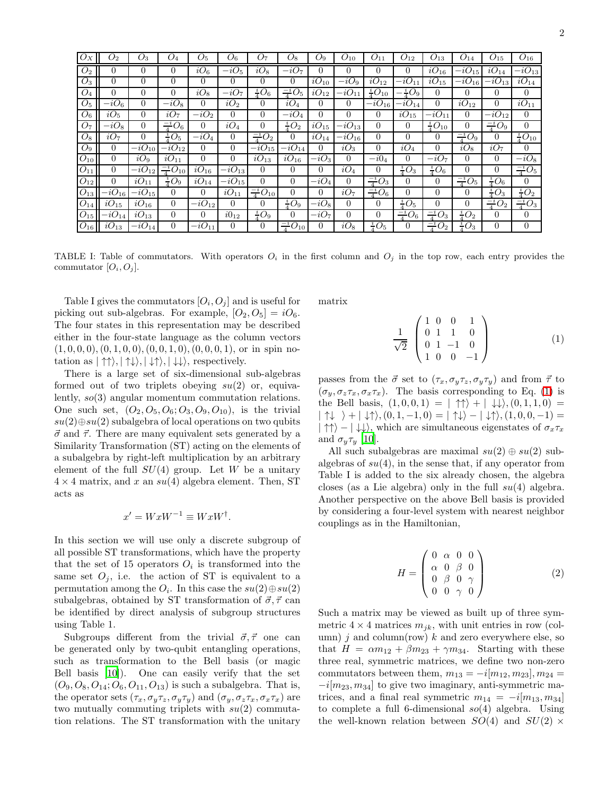| $O_X$          | $O_{2}$         | $O_3$                 | $O_4$                           | O <sub>5</sub> | $O_6$           | O <sub>7</sub>       | $O_8$                | $O_9$                | $O_{10}$        | $O_{11}$              | $O_{12}$             | $O_{13}$            | $O_{14}$          | $O_{15}$          | $O_{16}$            |
|----------------|-----------------|-----------------------|---------------------------------|----------------|-----------------|----------------------|----------------------|----------------------|-----------------|-----------------------|----------------------|---------------------|-------------------|-------------------|---------------------|
| O <sub>2</sub> | 0               | $\theta$              | $\theta$                        | $iO_6$         | $-iO5$          | $iO_8$               | $-iO7$               | $\Omega$             | $\Omega$        | $\Omega$              | 0                    | $iO_{16}$           | $-iO_{15}$        | $iO_{14}$         | $-iO_{13}$          |
| $O_3$          | 0               | $\theta$              | $\theta$                        | $\Omega$       | $\Omega$        | 0                    | $\theta$             | $iO_{10}$            | $-iO_9$         | $iO_{12}$             | $-iO_{11}$           | $iO_{15}$           | $-iO_{16}$        | $-iO_{13}$        | $iO_{14}$           |
| $O_4$          | 0               | $\overline{0}$        | $\Omega$                        | $iO_8$         | $-iO7$          | $^{1}_{4}O_{6}$      | $\frac{-i}{4}O_5$    | $\overline{i}O_{12}$ | $-iO_1$         | $^{1}_{4}O_{10}$      | $\frac{-i}{4}O_9$    | $\theta$            | $\theta$          | 0                 | 0                   |
| O <sub>5</sub> | $-iO6$          | $\overline{0}$        | $-iO_8$                         | $\theta$       | iO <sub>2</sub> | $\theta$             | $iO_4$               | $\Omega$             | $\overline{0}$  | $-i\overline{O_{16}}$ | $-iO_{14}$           | $\overline{0}$      | $iO_{12}$         | $\theta$          | $iO_{11}$           |
| $O_6$          | iO <sub>5</sub> | $\Omega$              | iO <sub>7</sub>                 | $-iO2$         | $\Omega$        | $\Omega$             | $-iO_4$              | $\Omega$             | $\Omega$        | $\Omega$              | $\overline{i}O_{15}$ | $-iO_{11}$          | $\Omega$          | $-iO_{12}$        | $\Omega$            |
| O <sub>7</sub> | - $iO_8$        | $\overline{0}$        | $\frac{-i}{4}O_6$               | $\theta$       | $iO_4$          | $\Omega$             | $^{1}_{7}O_{2}$      | $iO_{15}$            | $-iO_{13}$      | $\overline{0}$        | $\Omega$             | $\frac{1}{4}O_{10}$ | $\overline{0}$    | $\frac{-i}{4}O_9$ | $\overline{0}$      |
| $O_8$          | iO <sub>7</sub> | $\Omega$              | $^{1}_{4}O_5$                   | $-iO_4$        | $\Omega$        | $\frac{-i}{4}O_2$    | $\overline{0}$       | $iO_{14}$            | $-iO_{16}$      | $\overline{0}$        | $\overline{0}$       | 0                   | $\frac{-i}{4}O_9$ | 0                 | $\frac{1}{4}O_{10}$ |
| $O_9$          | 0               | $-i\overline{O}_{10}$ | $-iO_{12}$                      | $\Omega$       | $\theta$        | $-iO_{15}$           | $-iO_{14}$           | $\Omega$             | $iO_3$          | $\overline{0}$        | $iO_4$               | $\theta$            | $iO_8$            | $iO_7$            | $\theta$            |
| $O_{10}$       | 0               | $iO_9$                | $iO_{11}$                       | $\overline{0}$ | $\overline{0}$  | $iO_{13}$            | $iO_{16}$            | $-iO_3$              | $\Omega$        | $-i04$                | $\Omega$             | $-iO7$              | $\Omega$          | 0                 | $-iO_8$             |
| $O_{11}$       | $\Omega$        | $-iO_{12}$            | $\frac{-i}{4}\overline{O_{10}}$ | $iO_{16}$      | $-iO_{13}$      | $\Omega$             | $\theta$             | $\Omega$             | $iO_4$          | $\Omega$              | $\frac{1}{4}O_3$     | $rac{i}{4}O_6$      | $\Omega$          | $\overline{0}$    | $\frac{-i}{4}O_5$   |
| $O_{12}$       | 0               | $iO_{11}$             | $rac{1}{4}O_9$                  | $iO_{14}$      | $-iO_{15}$      | $\theta$             | $\overline{0}$       | $-iO_4$              | $\Omega$        | $\frac{-i}{4}O_3$     | $\Omega$             | $\overline{0}$      | $\frac{-i}{4}O_5$ | $^{1}_{4}O_6$     | $\Omega$            |
| $O_{13}$       | $-iO_{16}$      | $-iO_{15}$            | $\Omega$                        | $\overline{0}$ | $iO_{11}$       | $\frac{-i}{4}O_{10}$ | $\theta$             | $\Omega$             | iO <sub>7</sub> | $\frac{-i}{4}O_6$     | $\Omega$             | $\theta$            | $\Omega$          | $\frac{1}{4}O_3$  | $\frac{1}{4}O_2$    |
| $O_{14}$       | $iO_{15}$       | $iO_{16}$             | $\Omega$                        | $-iO_{12}$     | $\Omega$        | $\Omega$             | $\frac{1}{4}O_9$     | $-iO_8$              | $\Omega$        | $\Omega$              | $\frac{1}{4}O_5$     | $\theta$            | $\Omega$          | $\frac{-i}{4}O_2$ | $\frac{-i}{4}O_3$   |
| $O_{15}$       | $-iO_{14}$      | $iO_{13}$             | $\overline{0}$                  | $\overline{0}$ | $i0_{12}$       | $\frac{1}{4}O_9$     | $\overline{0}$       | $-iO7$               | $\theta$        | $\overline{0}$        | $\frac{-i}{4}O_6$    | $\frac{-i}{4}O_3$   | $^{1}_{4}O_{2}$   | 0                 | $\theta$            |
| $O_{16}$       | $iO_{13}$       | $-iO_{14}$            | 0                               | $-iO_{11}$     | 0               | 0                    | $\frac{-i}{4}O_{10}$ | 0                    | $iO_8$          | $^{1}_{4}O_5$         | 0                    | $\frac{-i}{4}O_2$   | $^{1}_{4}O_{3}$   | 0                 | $\overline{0}$      |

TABLE I: Table of commutators. With operators  $O_i$  in the first column and  $O_j$  in the top row, each entry provides the commutator  $[O_i, O_j]$ .

Table I gives the commutators  $[O_i, O_j]$  and is useful for picking out sub-algebras. For example,  $[O_2, O_5] = iO_6$ . The four states in this representation may be described either in the four-state language as the column vectors  $(1, 0, 0, 0), (0, 1, 0, 0), (0, 0, 1, 0), (0, 0, 0, 1),$  or in spin notation as  $|\uparrow \uparrow \rangle, |\uparrow \downarrow \rangle, |\downarrow \uparrow \rangle, |\downarrow \downarrow \rangle$ , respectively.

There is a large set of six-dimensional sub-algebras formed out of two triplets obeying  $su(2)$  or, equivalently, so(3) angular momentum commutation relations. One such set,  $(O_2, O_5, O_6; O_3, O_9, O_{10})$ , is the trivial  $su(2)\oplus su(2)$  subalgebra of local operations on two qubits  $\vec{\sigma}$  and  $\vec{\tau}$ . There are many equivalent sets generated by a Similarity Transformation (ST) acting on the elements of a subalgebra by right-left multiplication by an arbitrary element of the full  $SU(4)$  group. Let W be a unitary  $4 \times 4$  matrix, and x an  $su(4)$  algebra element. Then, ST acts as

$$
x' = WxW^{-1} \equiv WxW^{\dagger}.
$$

In this section we will use only a discrete subgroup of all possible ST transformations, which have the property that the set of 15 operators  $O_i$  is transformed into the same set  $O_i$ , i.e. the action of ST is equivalent to a permutation among the  $O_i$ . In this case the  $su(2)\oplus su(2)$ subalgebras, obtained by ST transformation of  $\vec{\sigma}, \vec{\tau}$  can be identified by direct analysis of subgroup structures using Table 1.

Subgroups different from the trivial  $\vec{\sigma}, \vec{\tau}$  one can be generated only by two-qubit entangling operations, such as transformation to the Bell basis (or magic Bell basis [\[10\]](#page-7-8)). One can easily verify that the set  $(O_9, O_8, O_{14}; O_6, O_{11}, O_{13})$  is such a subalgebra. That is, the operator sets  $(\tau_x, \sigma_y \tau_z, \sigma_y \tau_y)$  and  $(\sigma_y, \sigma_z \tau_x, \sigma_x \tau_x)$  are two mutually commuting triplets with  $su(2)$  commutation relations. The ST transformation with the unitary

<span id="page-2-0"></span>matrix

$$
\frac{1}{\sqrt{2}} \begin{pmatrix} 1 & 0 & 0 & 1 \\ 0 & 1 & 1 & 0 \\ 0 & 1 & -1 & 0 \\ 1 & 0 & 0 & -1 \end{pmatrix}
$$
 (1)

passes from the  $\vec{\sigma}$  set to  $(\tau_x, \sigma_y \tau_z, \sigma_y \tau_y)$  and from  $\vec{\tau}$  to  $(\sigma_y, \sigma_z \tau_x, \sigma_x \tau_x)$ . The basis corresponding to Eq. [\(1\)](#page-2-0) is the Bell basis,  $(1, 0, 0, 1) = | \uparrow \uparrow \rangle + | \downarrow \downarrow \rangle$ ,  $(0, 1, 1, 0) =$  $|\uparrow\downarrow\rangle + |\downarrow\uparrow\rangle, (0, 1, -1, 0) = |\uparrow\downarrow\rangle - |\downarrow\uparrow\rangle, (1, 0, 0, -1) =$  $|\uparrow\uparrow\rangle - |\downarrow\downarrow\rangle$ , which are simultaneous eigenstates of  $\sigma_x \tau_x$ and  $\sigma_y \tau_y$  [\[10](#page-7-8)].

All such subalgebras are maximal  $su(2) \oplus su(2)$  subalgebras of  $su(4)$ , in the sense that, if any operator from Table I is added to the six already chosen, the algebra closes (as a Lie algebra) only in the full  $su(4)$  algebra. Another perspective on the above Bell basis is provided by considering a four-level system with nearest neighbor couplings as in the Hamiltonian,

$$
H = \begin{pmatrix} 0 & \alpha & 0 & 0 \\ \alpha & 0 & \beta & 0 \\ 0 & \beta & 0 & \gamma \\ 0 & 0 & \gamma & 0 \end{pmatrix}
$$
 (2)

Such a matrix may be viewed as built up of three symmetric  $4 \times 4$  matrices  $m_{ik}$ , with unit entries in row (column)  $j$  and column(row)  $k$  and zero everywhere else, so that  $H = \alpha m_{12} + \beta m_{23} + \gamma m_{34}$ . Starting with these three real, symmetric matrices, we define two non-zero commutators between them,  $m_{13} = -i[m_{12}, m_{23}], m_{24} =$  $-i[m_{23}, m_{34}]$  to give two imaginary, anti-symmetric matrices, and a final real symmetric  $m_{14} = -i[m_{13}, m_{34}]$ to complete a full 6-dimensional  $so(4)$  algebra. Using the well-known relation between  $SO(4)$  and  $SU(2)$  ×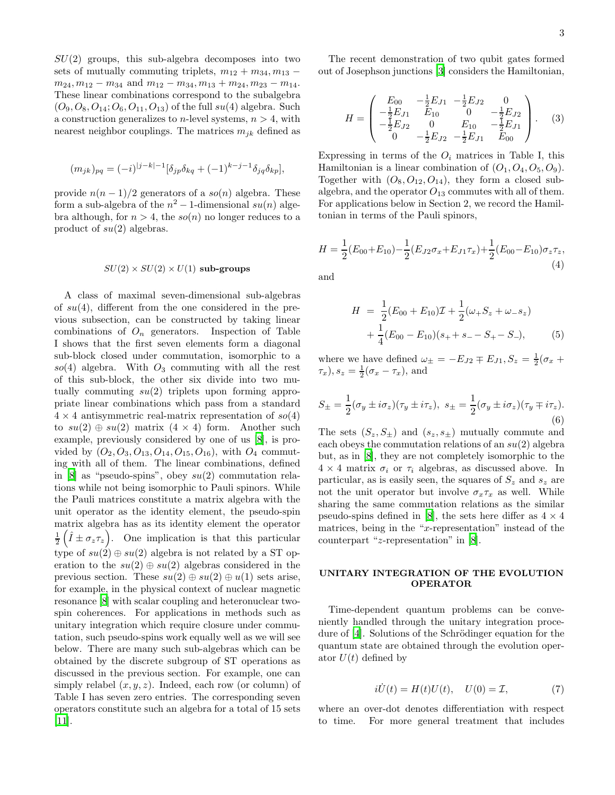$SU(2)$  groups, this sub-algebra decomposes into two sets of mutually commuting triplets,  $m_{12} + m_{34}, m_{13}$  $m_{24}, m_{12} - m_{34}$  and  $m_{12} - m_{34}, m_{13} + m_{24}, m_{23} - m_{14}$ . These linear combinations correspond to the subalgebra  $(O_9, O_8, O_{14}; O_6, O_{11}, O_{13})$  of the full  $su(4)$  algebra. Such a construction generalizes to *n*-level systems,  $n > 4$ , with nearest neighbor couplings. The matrices  $m_{ik}$  defined as

$$
(m_{jk})_{pq} = (-i)^{|j-k|-1} [\delta_{jp}\delta_{kq} + (-1)^{k-j-1}\delta_{jq}\delta_{kp}],
$$

provide  $n(n-1)/2$  generators of a so(n) algebra. These form a sub-algebra of the  $n^2 - 1$ -dimensional  $su(n)$  algebra although, for  $n > 4$ , the so(n) no longer reduces to a product of  $su(2)$  algebras.

#### $SU(2) \times SU(2) \times U(1)$  sub-groups

A class of maximal seven-dimensional sub-algebras of  $su(4)$ , different from the one considered in the previous subsection, can be constructed by taking linear combinations of  $O_n$  generators. Inspection of Table I shows that the first seven elements form a diagonal sub-block closed under commutation, isomorphic to a so(4) algebra. With  $O_3$  commuting with all the rest of this sub-block, the other six divide into two mutually commuting  $su(2)$  triplets upon forming appropriate linear combinations which pass from a standard  $4 \times 4$  antisymmetric real-matrix representation of  $so(4)$ to  $su(2) \oplus su(2)$  matrix  $(4 \times 4)$  form. Another such example, previously considered by one of us [\[8\]](#page-7-6), is provided by  $(O_2, O_3, O_{13}, O_{14}, O_{15}, O_{16})$ , with  $O_4$  commuting with all of them. The linear combinations, defined in  $[8]$  as "pseudo-spins", obey  $su(2)$  commutation relations while not being isomorphic to Pauli spinors. While the Pauli matrices constitute a matrix algebra with the unit operator as the identity element, the pseudo-spin matrix algebra has as its identity element the operator  $\frac{1}{2}(\hat{I} \pm \sigma_z \tau_z)$ . One implication is that this particular type of  $su(2) \oplus su(2)$  algebra is not related by a ST operation to the  $su(2) \oplus su(2)$  algebras considered in the previous section. These  $su(2) \oplus su(2) \oplus u(1)$  sets arise, for example, in the physical context of nuclear magnetic resonance [\[8\]](#page-7-6) with scalar coupling and heteronuclear twospin coherences. For applications in methods such as unitary integration which require closure under commutation, such pseudo-spins work equally well as we will see below. There are many such sub-algebras which can be obtained by the discrete subgroup of ST operations as discussed in the previous section. For example, one can simply relabel  $(x, y, z)$ . Indeed, each row (or column) of Table I has seven zero entries. The corresponding seven operators constitute such an algebra for a total of 15 sets [\[11\]](#page-7-9).

The recent demonstration of two qubit gates formed out of Josephson junctions [\[3](#page-7-1)] considers the Hamiltonian,

$$
H = \begin{pmatrix} E_{00} & -\frac{1}{2}E_{J1} & -\frac{1}{2}E_{J2} & 0\\ -\frac{1}{2}E_{J1} & E_{10} & 0 & -\frac{1}{2}E_{J2}\\ -\frac{1}{2}E_{J2} & 0 & E_{10} & -\frac{1}{2}E_{J1}\\ 0 & -\frac{1}{2}E_{J2} & -\frac{1}{2}E_{J1} & E_{00} \end{pmatrix}.
$$
 (3)

Expressing in terms of the  $O_i$  matrices in Table I, this Hamiltonian is a linear combination of  $(O_1, O_4, O_5, O_9)$ . Together with  $(O_8, O_{12}, O_{14})$ , they form a closed subalgebra, and the operator  ${\cal O}_{13}$  commutes with all of them. For applications below in Section 2, we record the Hamiltonian in terms of the Pauli spinors,

$$
H = \frac{1}{2}(E_{00} + E_{10}) - \frac{1}{2}(E_{J2}\sigma_x + E_{J1}\tau_x) + \frac{1}{2}(E_{00} - E_{10})\sigma_z\tau_z,
$$
\n(4)

<span id="page-3-1"></span>and

$$
H = \frac{1}{2}(E_{00} + E_{10})\mathcal{I} + \frac{1}{2}(\omega_+ S_z + \omega_- s_z)
$$
  
+  $\frac{1}{4}(E_{00} - E_{10})(s_+ + s_- - S_+ - S_-),$  (5)

where we have defined  $\omega_{\pm} = -E_{J2} \mp E_{J1}, S_z = \frac{1}{2}(\sigma_x +$  $(\tau_x), s_z = \frac{1}{2}(\sigma_x - \tau_x), \text{ and}$ 

$$
S_{\pm} = \frac{1}{2} (\sigma_y \pm i \sigma_z)(\tau_y \pm i \tau_z), \ s_{\pm} = \frac{1}{2} (\sigma_y \pm i \sigma_z)(\tau_y \mp i \tau_z).
$$
\n(6)

The sets  $(S_z, S_{\pm})$  and  $(s_z, s_{\pm})$  mutually commute and each obeys the commutation relations of an  $su(2)$  algebra but, as in [\[8\]](#page-7-6), they are not completely isomorphic to the  $4 \times 4$  matrix  $\sigma_i$  or  $\tau_i$  algebras, as discussed above. In particular, as is easily seen, the squares of  $S_z$  and  $s_z$  are not the unit operator but involve  $\sigma_x \tau_x$  as well. While sharing the same commutation relations as the similar pseudo-spins defined in [\[8\]](#page-7-6), the sets here differ as  $4 \times 4$ matrices, being in the "x-representation" instead of the counterpart "z-representation" in [\[8\]](#page-7-6).

#### UNITARY INTEGRATION OF THE EVOLUTION OPERATOR

<span id="page-3-0"></span>Time-dependent quantum problems can be conveniently handled through the unitary integration proce-dure of [\[4](#page-7-2)]. Solutions of the Schrödinger equation for the quantum state are obtained through the evolution operator  $U(t)$  defined by

$$
i\dot{U}(t) = H(t)U(t), \quad U(0) = \mathcal{I},\tag{7}
$$

where an over-dot denotes differentiation with respect to time. For more general treatment that includes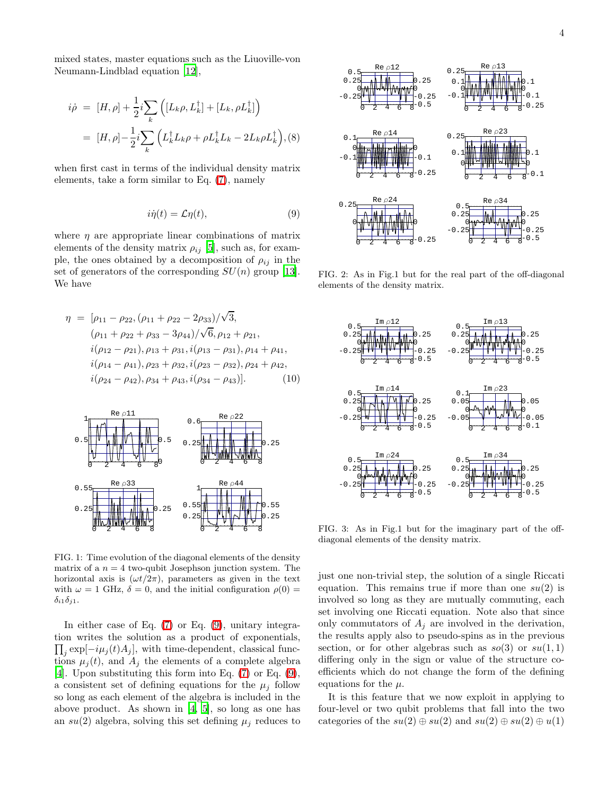mixed states, master equations such as the Liuoville-von Neumann-Lindblad equation [\[12\]](#page-7-10),

<span id="page-4-1"></span>
$$
i\dot{\rho} = [H,\rho] + \frac{1}{2}i \sum_{k} \left( [L_{k}\rho, L_{k}^{\dagger}] + [L_{k}, \rho L_{k}^{\dagger}] \right)
$$

$$
= [H,\rho] - \frac{1}{2}i \sum_{k} \left( L_{k}^{\dagger} L_{k}\rho + \rho L_{k}^{\dagger} L_{k} - 2L_{k}\rho L_{k}^{\dagger} \right), (8)
$$

<span id="page-4-0"></span>when first cast in terms of the individual density matrix elements, take a form similar to Eq. [\(7\)](#page-3-0), namely

$$
i\dot{\eta}(t) = \mathcal{L}\eta(t),\tag{9}
$$

where  $\eta$  are appropriate linear combinations of matrix elements of the density matrix  $\rho_{ij}$  [\[5](#page-7-3)], such as, for example, the ones obtained by a decomposition of  $\rho_{ij}$  in the set of generators of the corresponding  $SU(n)$  group [\[13\]](#page-7-11). We have

<span id="page-4-2"></span>
$$
\eta = [\rho_{11} - \rho_{22}, (\rho_{11} + \rho_{22} - 2\rho_{33})/\sqrt{3},
$$
  
\n
$$
(\rho_{11} + \rho_{22} + \rho_{33} - 3\rho_{44})/\sqrt{6}, \rho_{12} + \rho_{21},
$$
  
\n
$$
i(\rho_{12} - \rho_{21}), \rho_{13} + \rho_{31}, i(\rho_{13} - \rho_{31}), \rho_{14} + \rho_{41},
$$
  
\n
$$
i(\rho_{14} - \rho_{41}), \rho_{23} + \rho_{32}, i(\rho_{23} - \rho_{32}), \rho_{24} + \rho_{42},
$$
  
\n
$$
i(\rho_{24} - \rho_{42}), \rho_{34} + \rho_{43}, i(\rho_{34} - \rho_{43})].
$$
 (10)



FIG. 1: Time evolution of the diagonal elements of the density matrix of a  $n = 4$  two-qubit Josephson junction system. The horizontal axis is  $(\omega t/2\pi)$ , parameters as given in the text with  $\omega = 1$  GHz,  $\delta = 0$ , and the initial configuration  $\rho(0) =$  $\delta_{i1}\delta_{j1}.$ 

In either case of Eq. [\(7\)](#page-3-0) or Eq. [\(9\)](#page-4-0), unitary integration writes the solution as a product of exponentials,  $\prod_j \exp[-i\mu_j(t)A_j]$ , with time-dependent, classical functions  $\mu_i(t)$ , and  $A_i$  the elements of a complete algebra [\[4\]](#page-7-2). Upon substituting this form into Eq. [\(7\)](#page-3-0) or Eq. [\(9\)](#page-4-0), a consistent set of defining equations for the  $\mu_i$  follow so long as each element of the algebra is included in the above product. As shown in [\[4](#page-7-2), [5\]](#page-7-3), so long as one has an  $su(2)$  algebra, solving this set defining  $\mu_i$  reduces to



FIG. 2: As in Fig.1 but for the real part of the off-diagonal elements of the density matrix.



FIG. 3: As in Fig.1 but for the imaginary part of the offdiagonal elements of the density matrix.

just one non-trivial step, the solution of a single Riccati equation. This remains true if more than one  $su(2)$  is involved so long as they are mutually commuting, each set involving one Riccati equation. Note also that since only commutators of  $A_i$  are involved in the derivation, the results apply also to pseudo-spins as in the previous section, or for other algebras such as  $so(3)$  or  $su(1,1)$ differing only in the sign or value of the structure coefficients which do not change the form of the defining equations for the  $\mu$ .

It is this feature that we now exploit in applying to four-level or two qubit problems that fall into the two categories of the  $su(2) \oplus su(2)$  and  $su(2) \oplus su(2) \oplus u(1)$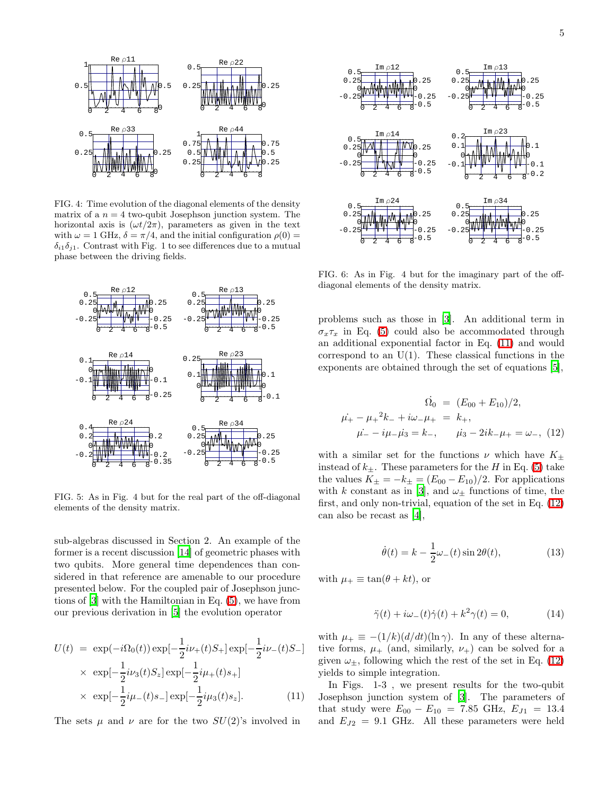

FIG. 4: Time evolution of the diagonal elements of the density matrix of a  $n = 4$  two-qubit Josephson junction system. The horizontal axis is  $(\omega t/2\pi)$ , parameters as given in the text with  $\omega = 1$  GHz,  $\delta = \pi/4$ , and the initial configuration  $\rho(0) =$  $\delta_{i1}\delta_{i1}$ . Contrast with Fig. 1 to see differences due to a mutual phase between the driving fields.



FIG. 5: As in Fig. 4 but for the real part of the off-diagonal elements of the density matrix.

sub-algebras discussed in Section 2. An example of the former is a recent discussion [\[14\]](#page-7-12) of geometric phases with two qubits. More general time dependences than considered in that reference are amenable to our procedure presented below. For the coupled pair of Josephson junctions of [\[3\]](#page-7-1) with the Hamiltonian in Eq. [\(5\)](#page-3-1), we have from our previous derivation in [\[5\]](#page-7-3) the evolution operator

<span id="page-5-0"></span>
$$
U(t) = \exp(-i\Omega_0(t)) \exp[-\frac{1}{2}i\nu_+(t)S_+] \exp[-\frac{1}{2}i\nu_-(t)S_-]
$$
  
 
$$
\times \exp[-\frac{1}{2}i\nu_3(t)S_z] \exp[-\frac{1}{2}i\mu_+(t)s_+]
$$
  
 
$$
\times \exp[-\frac{1}{2}i\mu_-(t)s_-] \exp[-\frac{1}{2}i\mu_3(t)s_z].
$$
 (11)

The sets  $\mu$  and  $\nu$  are for the two  $SU(2)$ 's involved in



FIG. 6: As in Fig. 4 but for the imaginary part of the offdiagonal elements of the density matrix.

problems such as those in [\[3](#page-7-1)]. An additional term in  $\sigma_x \tau_x$  in Eq. [\(5\)](#page-3-1) could also be accommodated through an additional exponential factor in Eq. [\(11\)](#page-5-0) and would correspond to an  $U(1)$ . These classical functions in the exponents are obtained through the set of equations [\[5\]](#page-7-3),

<span id="page-5-1"></span>
$$
\Omega_0 = (E_{00} + E_{10})/2,
$$
  
\n
$$
\mu_+ - \mu_+^2 k_- + i\omega_- \mu_+ = k_+,
$$
  
\n
$$
\mu_- - i\mu_- \mu_3 = k_-, \qquad \mu_3 - 2ik_- \mu_+ = \omega_-, \quad (12)
$$

with a similar set for the functions  $\nu$  which have  $K_{\pm}$ instead of  $k_{\pm}$ . These parameters for the H in Eq. [\(5\)](#page-3-1) take the values  $K_{\pm} = -k_{\pm} = (E_{00} - E_{10})/2$ . For applications with k constant as in [\[3\]](#page-7-1), and  $\omega_{\pm}$  functions of time, the first, and only non-trivial, equation of the set in Eq. [\(12\)](#page-5-1) can also be recast as [\[4\]](#page-7-2),

$$
\dot{\theta}(t) = k - \frac{1}{2}\omega_{-}(t)\sin 2\theta(t),\tag{13}
$$

with  $\mu_+ \equiv \tan(\theta + kt)$ , or

$$
\ddot{\gamma}(t) + i\omega_{-}(t)\dot{\gamma}(t) + k^{2}\gamma(t) = 0, \qquad (14)
$$

with  $\mu_{+} \equiv -(1/k)(d/dt)(\ln \gamma)$ . In any of these alternative forms,  $\mu_+$  (and, similarly,  $\nu_+$ ) can be solved for a given  $\omega_{\pm}$ , following which the rest of the set in Eq. [\(12\)](#page-5-1) yields to simple integration.

In Figs. 1-3 , we present results for the two-qubit Josephson junction system of [\[3\]](#page-7-1). The parameters of that study were  $E_{00} - E_{10} = 7.85$  GHz,  $E_{J1} = 13.4$ and  $E_{J2} = 9.1$  GHz. All these parameters were held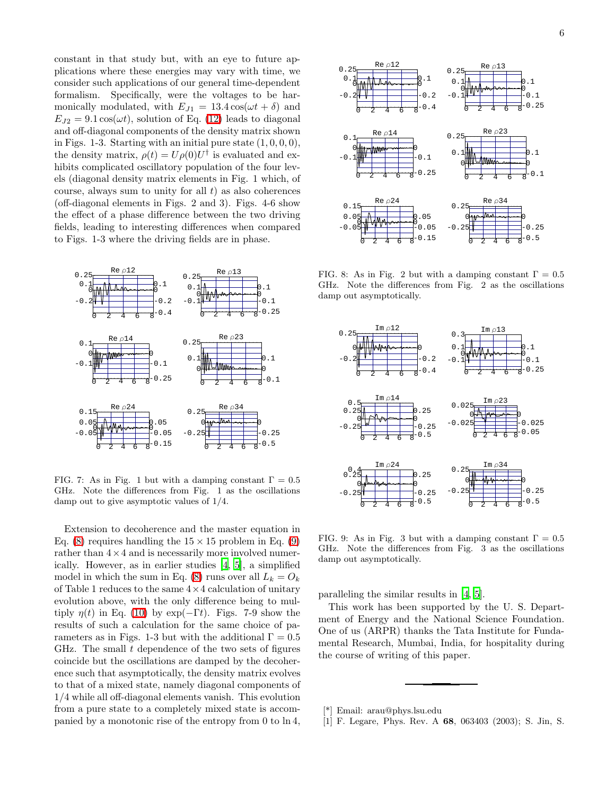constant in that study but, with an eye to future applications where these energies may vary with time, we consider such applications of our general time-dependent formalism. Specifically, were the voltages to be harmonically modulated, with  $E_{J1} = 13.4 \cos(\omega t + \delta)$  and  $E_{I2} = 9.1 \cos(\omega t)$ , solution of Eq. [\(12\)](#page-5-1) leads to diagonal and off-diagonal components of the density matrix shown in Figs. 1-3. Starting with an initial pure state  $(1, 0, 0, 0)$ , the density matrix,  $\rho(t) = U\rho(0)U^{\dagger}$  is evaluated and exhibits complicated oscillatory population of the four levels (diagonal density matrix elements in Fig. 1 which, of course, always sum to unity for all  $t$ ) as also coherences (off-diagonal elements in Figs. 2 and 3). Figs. 4-6 show the effect of a phase difference between the two driving fields, leading to interesting differences when compared to Figs. 1-3 where the driving fields are in phase.



FIG. 7: As in Fig. 1 but with a damping constant  $\Gamma = 0.5$ GHz. Note the differences from Fig. 1 as the oscillations damp out to give asymptotic values of 1/4.

Extension to decoherence and the master equation in Eq. [\(8\)](#page-4-1) requires handling the  $15 \times 15$  problem in Eq. [\(9\)](#page-4-0) rather than  $4 \times 4$  and is necessarily more involved numerically. However, as in earlier studies [\[4](#page-7-2), [5\]](#page-7-3), a simplified model in which the sum in Eq. [\(8\)](#page-4-1) runs over all  $L_k = O_k$ of Table 1 reduces to the same  $4 \times 4$  calculation of unitary evolution above, with the only difference being to multiply  $\eta(t)$  in Eq. [\(10\)](#page-4-2) by exp( $-\Gamma t$ ). Figs. 7-9 show the results of such a calculation for the same choice of parameters as in Figs. 1-3 but with the additional  $\Gamma = 0.5$ GHz. The small  $t$  dependence of the two sets of figures coincide but the oscillations are damped by the decoherence such that asymptotically, the density matrix evolves to that of a mixed state, namely diagonal components of 1/4 while all off-diagonal elements vanish. This evolution from a pure state to a completely mixed state is accompanied by a monotonic rise of the entropy from 0 to ln 4,



FIG. 8: As in Fig. 2 but with a damping constant  $\Gamma = 0.5$ GHz. Note the differences from Fig. 2 as the oscillations damp out asymptotically.



FIG. 9: As in Fig. 3 but with a damping constant  $\Gamma = 0.5$ GHz. Note the differences from Fig. 3 as the oscillations damp out asymptotically.

paralleling the similar results in [\[4,](#page-7-2) [5\]](#page-7-3).

This work has been supported by the U. S. Department of Energy and the National Science Foundation. One of us (ARPR) thanks the Tata Institute for Fundamental Research, Mumbai, India, for hospitality during the course of writing of this paper.

<sup>[\*]</sup> Email: arau@phys.lsu.edu

<span id="page-6-0"></span><sup>[1]</sup> F. Legare, Phys. Rev. A 68, 063403 (2003); S. Jin, S.